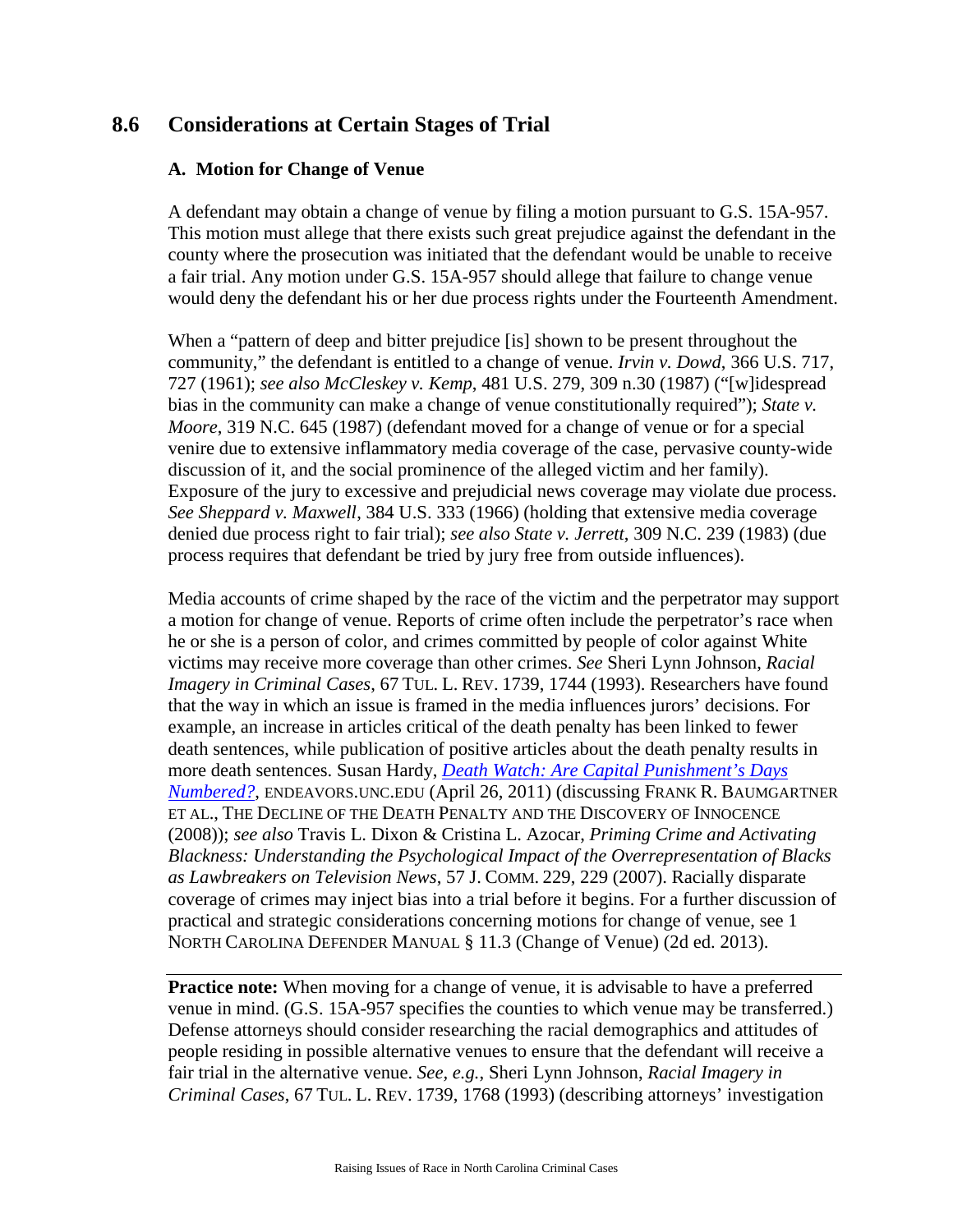# **8.6 Considerations at Certain Stages of Trial**

### **A. Motion for Change of Venue**

A defendant may obtain a change of venue by filing a motion pursuant to G.S. 15A-957. This motion must allege that there exists such great prejudice against the defendant in the county where the prosecution was initiated that the defendant would be unable to receive a fair trial. Any motion under G.S. 15A-957 should allege that failure to change venue would deny the defendant his or her due process rights under the Fourteenth Amendment.

When a "pattern of deep and bitter prejudice [is] shown to be present throughout the community," the defendant is entitled to a change of venue. *Irvin v. Dowd*, 366 U.S. 717, 727 (1961); *see also McCleskey v. Kemp*, 481 U.S. 279, 309 n.30 (1987) ("[w]idespread bias in the community can make a change of venue constitutionally required"); *State v. Moore*, 319 N.C. 645 (1987) (defendant moved for a change of venue or for a special venire due to extensive inflammatory media coverage of the case, pervasive county-wide discussion of it, and the social prominence of the alleged victim and her family). Exposure of the jury to excessive and prejudicial news coverage may violate due process. *See Sheppard v. Maxwell*, 384 U.S. 333 (1966) (holding that extensive media coverage denied due process right to fair trial); *see also State v. Jerrett*, 309 N.C. 239 (1983) (due process requires that defendant be tried by jury free from outside influences).

Media accounts of crime shaped by the race of the victim and the perpetrator may support a motion for change of venue. Reports of crime often include the perpetrator's race when he or she is a person of color, and crimes committed by people of color against White victims may receive more coverage than other crimes. *See* Sheri Lynn Johnson, *Racial Imagery in Criminal Cases*, 67 TUL. L. REV. 1739, 1744 (1993). Researchers have found that the way in which an issue is framed in the media influences jurors' decisions. For example, an increase in articles critical of the death penalty has been linked to fewer death sentences, while publication of positive articles about the death penalty results in more death sentences. Susan Hardy, *[Death Watch: Are Capital Punishment's Days](http://endeavors.unc.edu/deathwatch)  [Numbered?](http://endeavors.unc.edu/deathwatch)*, ENDEAVORS.UNC.EDU (April 26, 2011) (discussing FRANK R. BAUMGARTNER ET AL., THE DECLINE OF THE DEATH PENALTY AND THE DISCOVERY OF INNOCENCE (2008)); *see also* Travis L. Dixon & Cristina L. Azocar, *Priming Crime and Activating Blackness: Understanding the Psychological Impact of the Overrepresentation of Blacks as Lawbreakers on Television News*, 57 J. COMM. 229, 229 (2007). Racially disparate coverage of crimes may inject bias into a trial before it begins. For a further discussion of practical and strategic considerations concerning motions for change of venue, see 1 NORTH CAROLINA DEFENDER MANUAL § 11.3 (Change of Venue) (2d ed. 2013).

**Practice note:** When moving for a change of venue, it is advisable to have a preferred venue in mind. (G.S. 15A-957 specifies the counties to which venue may be transferred.) Defense attorneys should consider researching the racial demographics and attitudes of people residing in possible alternative venues to ensure that the defendant will receive a fair trial in the alternative venue. *See, e.g.*, Sheri Lynn Johnson, *Racial Imagery in Criminal Cases*, 67 TUL. L. REV. 1739, 1768 (1993) (describing attorneys' investigation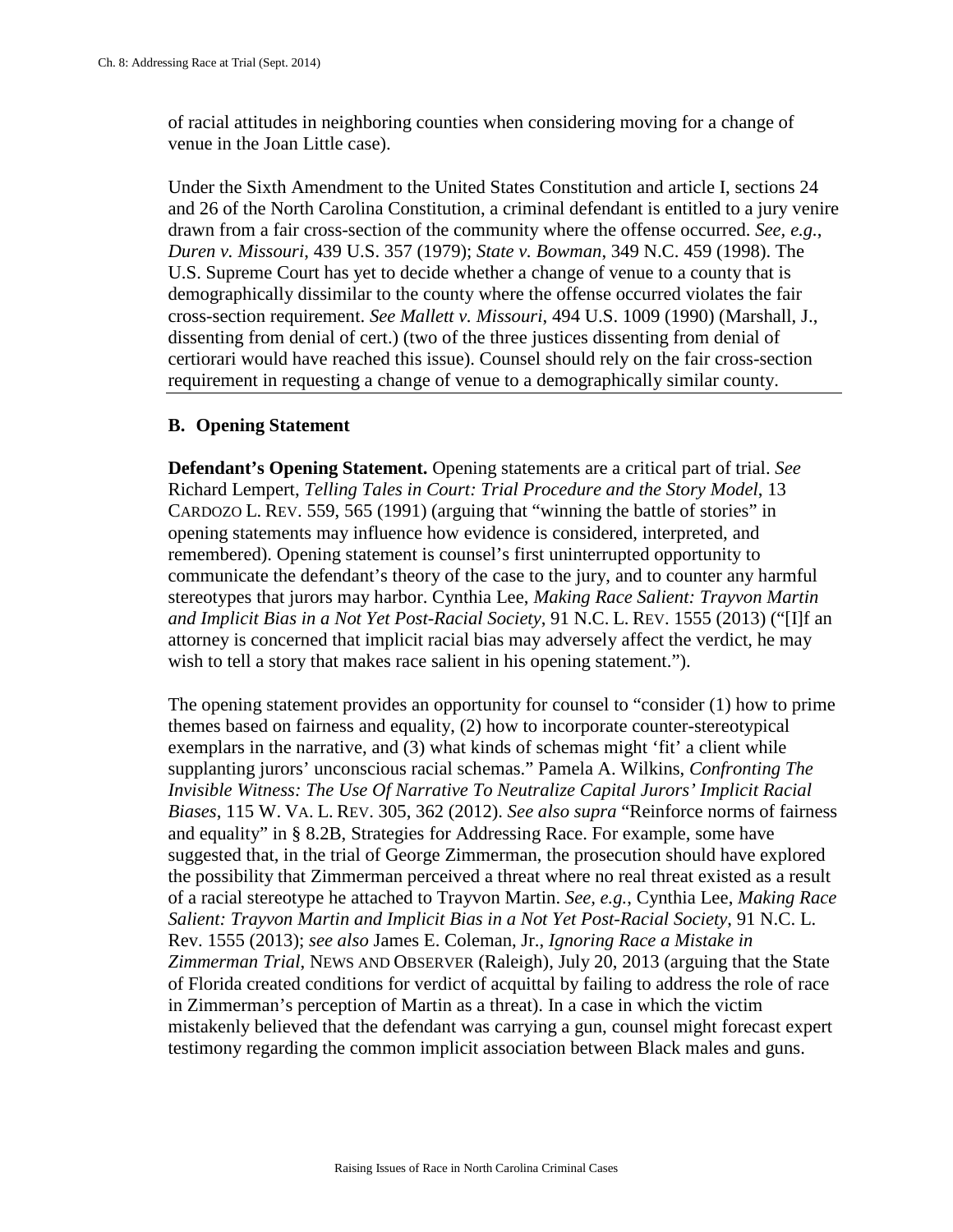of racial attitudes in neighboring counties when considering moving for a change of venue in the Joan Little case).

Under the Sixth Amendment to the United States Constitution and article I, sections 24 and 26 of the North Carolina Constitution, a criminal defendant is entitled to a jury venire drawn from a fair cross-section of the community where the offense occurred. *See, e.g.*, *Duren v. Missouri*, 439 U.S. 357 (1979); *State v. Bowman*, 349 N.C. 459 (1998). The U.S. Supreme Court has yet to decide whether a change of venue to a county that is demographically dissimilar to the county where the offense occurred violates the fair cross-section requirement. *See Mallett v. Missouri*, 494 U.S. 1009 (1990) (Marshall, J., dissenting from denial of cert.) (two of the three justices dissenting from denial of certiorari would have reached this issue). Counsel should rely on the fair cross-section requirement in requesting a change of venue to a demographically similar county.

### **B. Opening Statement**

**Defendant's Opening Statement.** Opening statements are a critical part of trial. *See*  Richard Lempert, *Telling Tales in Court: Trial Procedure and the Story Model*, 13 CARDOZO L. REV. 559, 565 (1991) (arguing that "winning the battle of stories" in opening statements may influence how evidence is considered, interpreted, and remembered). Opening statement is counsel's first uninterrupted opportunity to communicate the defendant's theory of the case to the jury, and to counter any harmful stereotypes that jurors may harbor. Cynthia Lee, *Making Race Salient: Trayvon Martin and Implicit Bias in a Not Yet Post-Racial Society*, 91 N.C. L. REV. 1555 (2013) ("[I]f an attorney is concerned that implicit racial bias may adversely affect the verdict, he may wish to tell a story that makes race salient in his opening statement.").

The opening statement provides an opportunity for counsel to "consider (1) how to prime themes based on fairness and equality, (2) how to incorporate counter-stereotypical exemplars in the narrative, and (3) what kinds of schemas might 'fit' a client while supplanting jurors' unconscious racial schemas." Pamela A. Wilkins, *Confronting The Invisible Witness: The Use Of Narrative To Neutralize Capital Jurors' Implicit Racial Biases*, 115 W. VA. L. REV. 305, 362 (2012). *See also supra* "Reinforce norms of fairness and equality" in § 8.2B, Strategies for Addressing Race. For example, some have suggested that, in the trial of George Zimmerman, the prosecution should have explored the possibility that Zimmerman perceived a threat where no real threat existed as a result of a racial stereotype he attached to Trayvon Martin. *See, e.g.*, Cynthia Lee, *Making Race Salient: Trayvon Martin and Implicit Bias in a Not Yet Post-Racial Society*, 91 N.C. L. Rev. 1555 (2013); *see also* James E. Coleman, Jr., *Ignoring Race a Mistake in Zimmerman Trial*, NEWS AND OBSERVER (Raleigh), July 20, 2013 (arguing that the State of Florida created conditions for verdict of acquittal by failing to address the role of race in Zimmerman's perception of Martin as a threat). In a case in which the victim mistakenly believed that the defendant was carrying a gun, counsel might forecast expert testimony regarding the common implicit association between Black males and guns.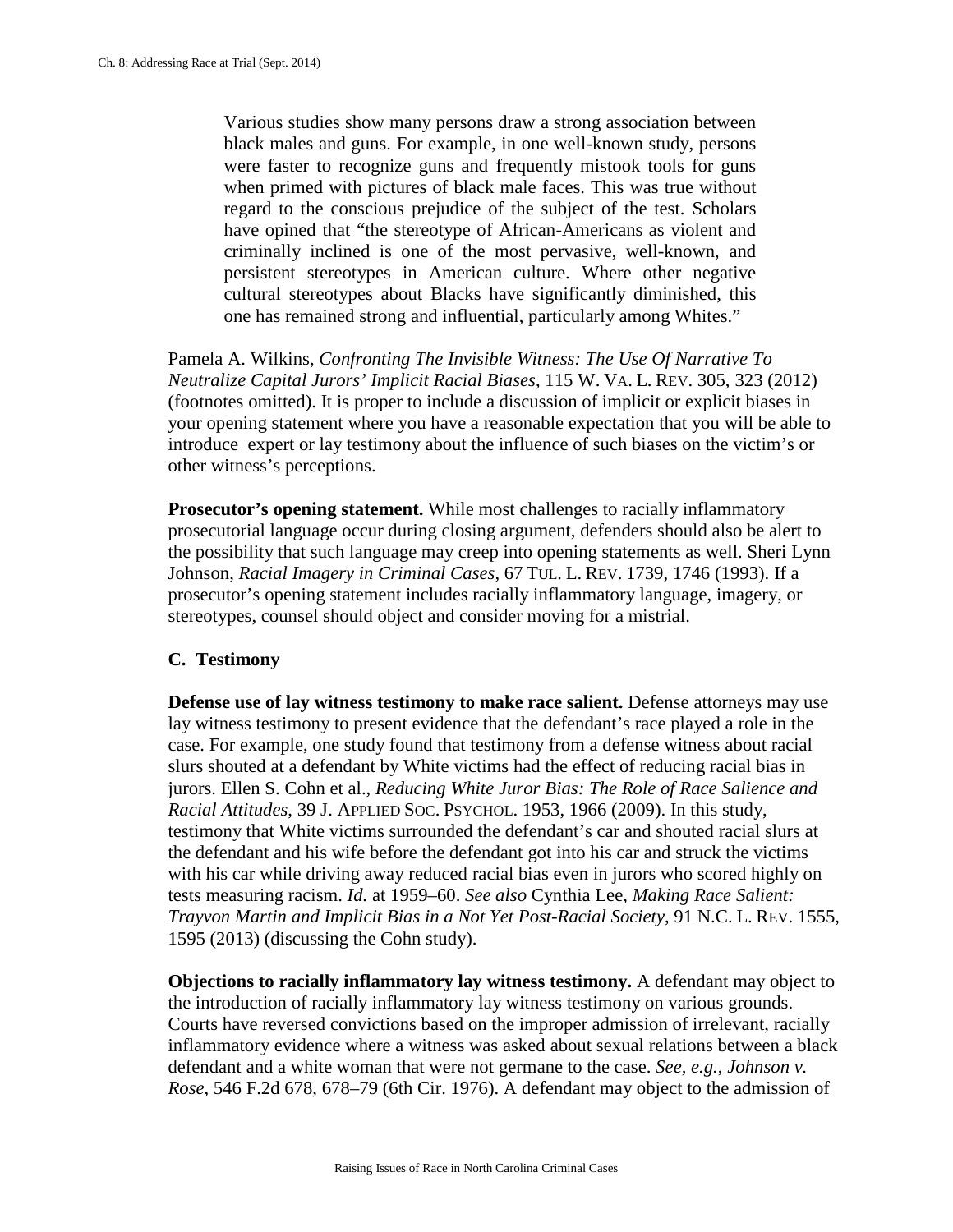Various studies show many persons draw a strong association between black males and guns. For example, in one well-known study, persons were faster to recognize guns and frequently mistook tools for guns when primed with pictures of black male faces. This was true without regard to the conscious prejudice of the subject of the test. Scholars have opined that "the stereotype of African-Americans as violent and criminally inclined is one of the most pervasive, well-known, and persistent stereotypes in American culture. Where other negative cultural stereotypes about Blacks have significantly diminished, this one has remained strong and influential, particularly among Whites."

Pamela A. Wilkins, *Confronting The Invisible Witness: The Use Of Narrative To Neutralize Capital Jurors' Implicit Racial Biases*, 115 W. VA. L. REV. 305, 323 (2012) (footnotes omitted). It is proper to include a discussion of implicit or explicit biases in your opening statement where you have a reasonable expectation that you will be able to introduce expert or lay testimony about the influence of such biases on the victim's or other witness's perceptions.

**Prosecutor's opening statement.** While most challenges to racially inflammatory prosecutorial language occur during closing argument, defenders should also be alert to the possibility that such language may creep into opening statements as well. Sheri Lynn Johnson, *Racial Imagery in Criminal Cases*, 67 TUL. L. REV. 1739, 1746 (1993). If a prosecutor's opening statement includes racially inflammatory language, imagery, or stereotypes, counsel should object and consider moving for a mistrial.

#### **C. Testimony**

**Defense use of lay witness testimony to make race salient.** Defense attorneys may use lay witness testimony to present evidence that the defendant's race played a role in the case. For example, one study found that testimony from a defense witness about racial slurs shouted at a defendant by White victims had the effect of reducing racial bias in jurors. Ellen S. Cohn et al., *Reducing White Juror Bias: The Role of Race Salience and Racial Attitudes*, 39 J. APPLIED SOC. PSYCHOL. 1953, 1966 (2009). In this study, testimony that White victims surrounded the defendant's car and shouted racial slurs at the defendant and his wife before the defendant got into his car and struck the victims with his car while driving away reduced racial bias even in jurors who scored highly on tests measuring racism. *Id.* at 1959–60. *See also* Cynthia Lee, *Making Race Salient: Trayvon Martin and Implicit Bias in a Not Yet Post-Racial Society*, 91 N.C. L. REV. 1555, 1595 (2013) (discussing the Cohn study).

**Objections to racially inflammatory lay witness testimony.** A defendant may object to the introduction of racially inflammatory lay witness testimony on various grounds. Courts have reversed convictions based on the improper admission of irrelevant, racially inflammatory evidence where a witness was asked about sexual relations between a black defendant and a white woman that were not germane to the case. *See, e.g.*, *Johnson v. Rose*, 546 F.2d 678, 678–79 (6th Cir. 1976). A defendant may object to the admission of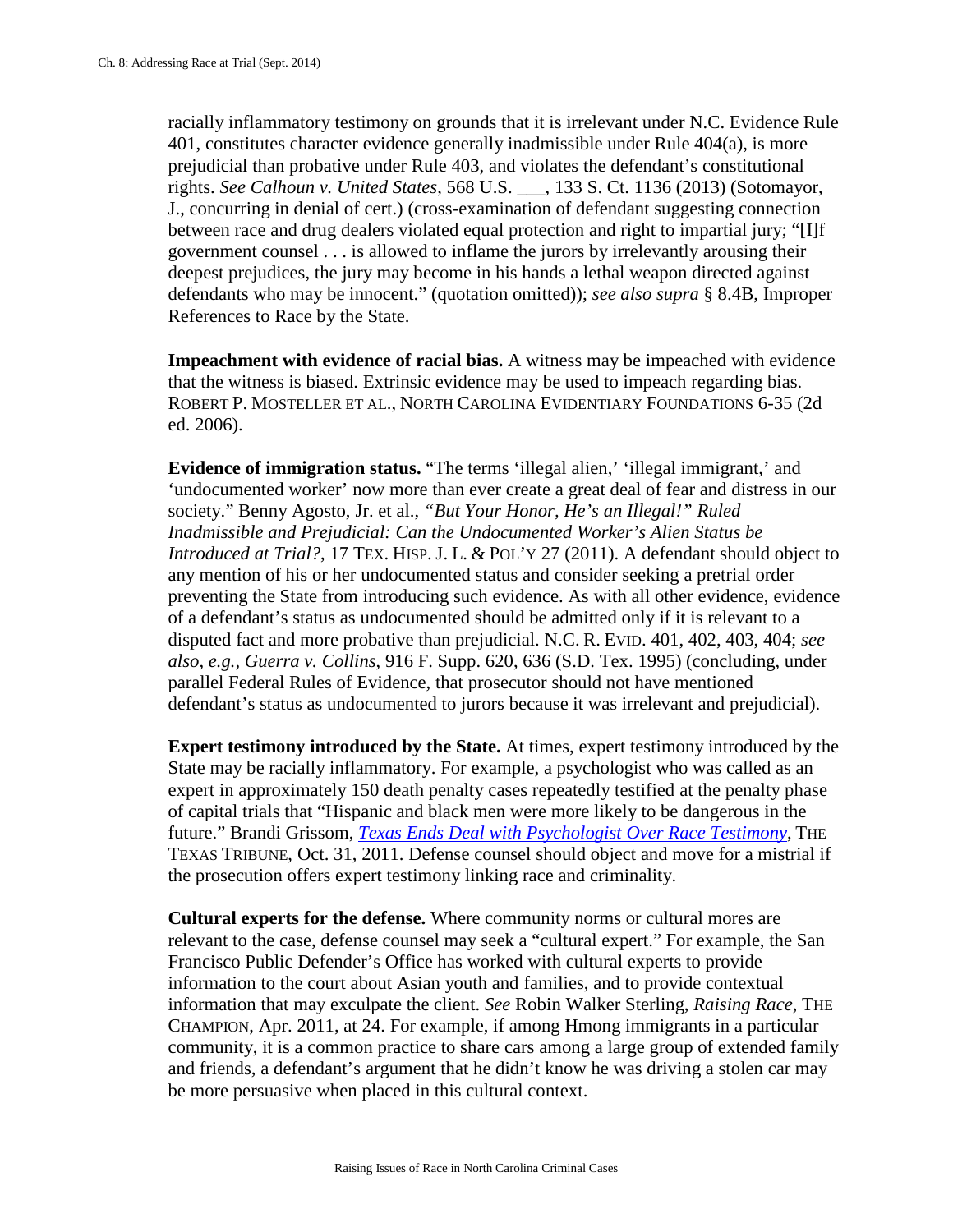racially inflammatory testimony on grounds that it is irrelevant under N.C. Evidence Rule 401, constitutes character evidence generally inadmissible under Rule 404(a), is more prejudicial than probative under Rule 403, and violates the defendant's constitutional rights. *See Calhoun v. United States*, 568 U.S. \_\_\_, 133 S. Ct. 1136 (2013) (Sotomayor, J., concurring in denial of cert.) (cross-examination of defendant suggesting connection between race and drug dealers violated equal protection and right to impartial jury; "[I]f government counsel . . . is allowed to inflame the jurors by irrelevantly arousing their deepest prejudices, the jury may become in his hands a lethal weapon directed against defendants who may be innocent." (quotation omitted)); *see also supra* § 8.4B, Improper References to Race by the State.

**Impeachment with evidence of racial bias.** A witness may be impeached with evidence that the witness is biased. Extrinsic evidence may be used to impeach regarding bias. ROBERT P. MOSTELLER ET AL., NORTH CAROLINA EVIDENTIARY FOUNDATIONS 6-35 (2d ed. 2006).

**Evidence of immigration status.** "The terms 'illegal alien,' 'illegal immigrant,' and 'undocumented worker' now more than ever create a great deal of fear and distress in our society." Benny Agosto, Jr. et al., *"But Your Honor, He's an Illegal!" Ruled Inadmissible and Prejudicial: Can the Undocumented Worker's Alien Status be Introduced at Trial?*, 17 TEX. HISP. J. L. & POL'Y 27 (2011). A defendant should object to any mention of his or her undocumented status and consider seeking a pretrial order preventing the State from introducing such evidence. As with all other evidence, evidence of a defendant's status as undocumented should be admitted only if it is relevant to a disputed fact and more probative than prejudicial. N.C. R. EVID. 401, 402, 403, 404; *see also, e.g., Guerra v. Collins*, 916 F. Supp. 620, 636 (S.D. Tex. 1995) (concluding, under parallel Federal Rules of Evidence, that prosecutor should not have mentioned defendant's status as undocumented to jurors because it was irrelevant and prejudicial).

**Expert testimony introduced by the State.** At times, expert testimony introduced by the State may be racially inflammatory. For example, a psychologist who was called as an expert in approximately 150 death penalty cases repeatedly testified at the penalty phase of capital trials that "Hispanic and black men were more likely to be dangerous in the future." Brandi Grissom, *[Texas Ends Deal with Psychologist Over Race Testimony](http://www.texastribune.org/2011/10/31/tyc-ends-contract-doctor-who-gave-race-testimony/)*, THE TEXAS TRIBUNE, Oct. 31, 2011. Defense counsel should object and move for a mistrial if the prosecution offers expert testimony linking race and criminality.

**Cultural experts for the defense.** Where community norms or cultural mores are relevant to the case, defense counsel may seek a "cultural expert." For example, the San Francisco Public Defender's Office has worked with cultural experts to provide information to the court about Asian youth and families, and to provide contextual information that may exculpate the client. *See* Robin Walker Sterling, *Raising Race*, THE CHAMPION, Apr. 2011, at 24. For example, if among Hmong immigrants in a particular community, it is a common practice to share cars among a large group of extended family and friends, a defendant's argument that he didn't know he was driving a stolen car may be more persuasive when placed in this cultural context.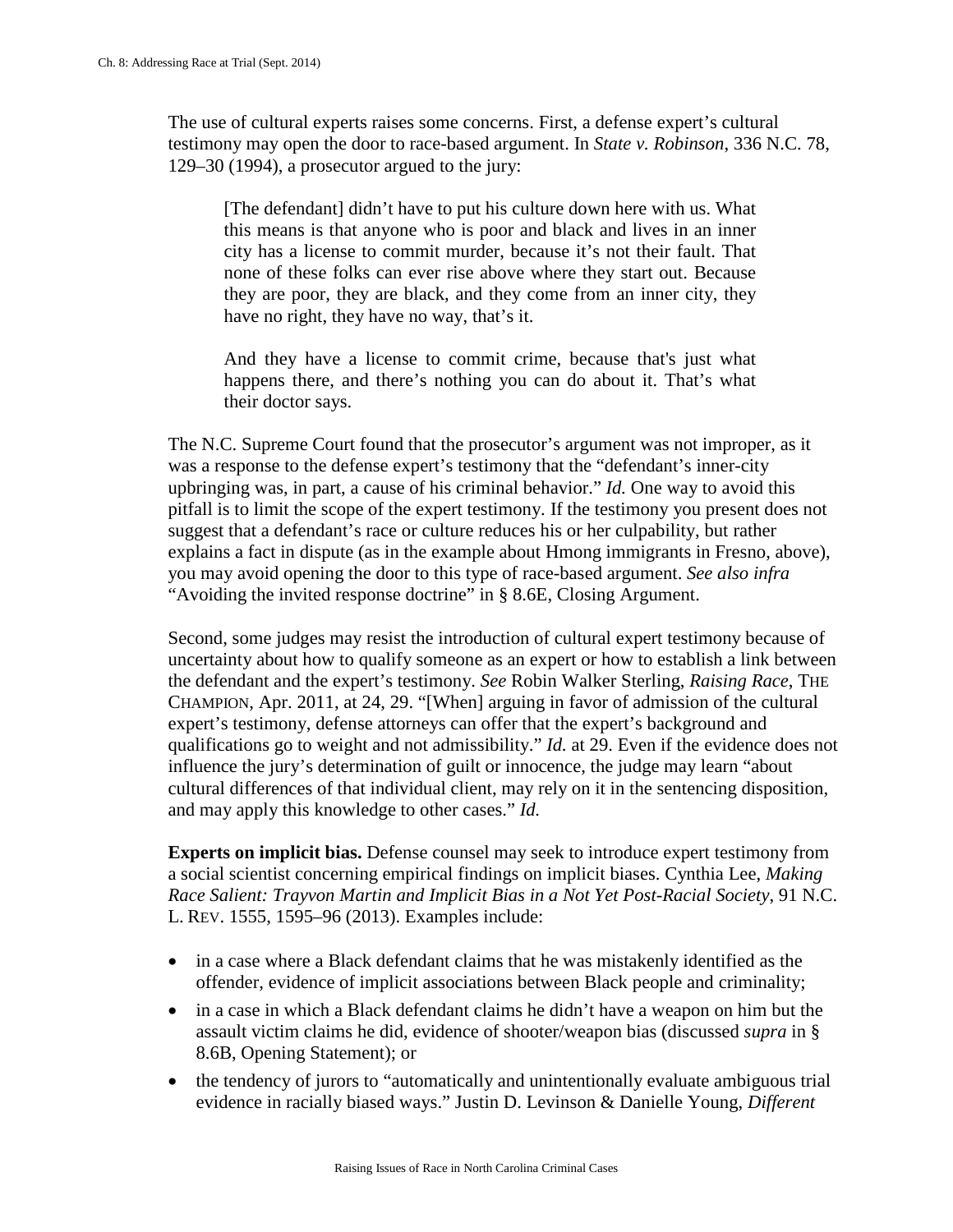The use of cultural experts raises some concerns. First, a defense expert's cultural testimony may open the door to race-based argument. In *State v. Robinson*, 336 N.C. 78, 129–30 (1994), a prosecutor argued to the jury:

[The defendant] didn't have to put his culture down here with us. What this means is that anyone who is poor and black and lives in an inner city has a license to commit murder, because it's not their fault. That none of these folks can ever rise above where they start out. Because they are poor, they are black, and they come from an inner city, they have no right, they have no way, that's it.

And they have a license to commit crime, because that's just what happens there, and there's nothing you can do about it. That's what their doctor says.

The N.C. Supreme Court found that the prosecutor's argument was not improper, as it was a response to the defense expert's testimony that the "defendant's inner-city upbringing was, in part, a cause of his criminal behavior." *Id.* One way to avoid this pitfall is to limit the scope of the expert testimony. If the testimony you present does not suggest that a defendant's race or culture reduces his or her culpability, but rather explains a fact in dispute (as in the example about Hmong immigrants in Fresno, above), you may avoid opening the door to this type of race-based argument. *See also infra* "Avoiding the invited response doctrine" in § 8.6E, Closing Argument.

Second, some judges may resist the introduction of cultural expert testimony because of uncertainty about how to qualify someone as an expert or how to establish a link between the defendant and the expert's testimony. *See* Robin Walker Sterling, *Raising Race*, THE CHAMPION, Apr. 2011, at 24, 29. "[When] arguing in favor of admission of the cultural expert's testimony, defense attorneys can offer that the expert's background and qualifications go to weight and not admissibility." *Id.* at 29. Even if the evidence does not influence the jury's determination of guilt or innocence, the judge may learn "about cultural differences of that individual client, may rely on it in the sentencing disposition, and may apply this knowledge to other cases." *Id.*

**Experts on implicit bias.** Defense counsel may seek to introduce expert testimony from a social scientist concerning empirical findings on implicit biases. Cynthia Lee, *Making Race Salient: Trayvon Martin and Implicit Bias in a Not Yet Post-Racial Society*, 91 N.C. L. REV. 1555, 1595–96 (2013). Examples include:

- in a case where a Black defendant claims that he was mistakenly identified as the offender, evidence of implicit associations between Black people and criminality;
- in a case in which a Black defendant claims he didn't have a weapon on him but the assault victim claims he did, evidence of shooter/weapon bias (discussed *supra* in § 8.6B, Opening Statement); or
- the tendency of jurors to "automatically and unintentionally evaluate ambiguous trial evidence in racially biased ways." Justin D. Levinson & Danielle Young, *Different*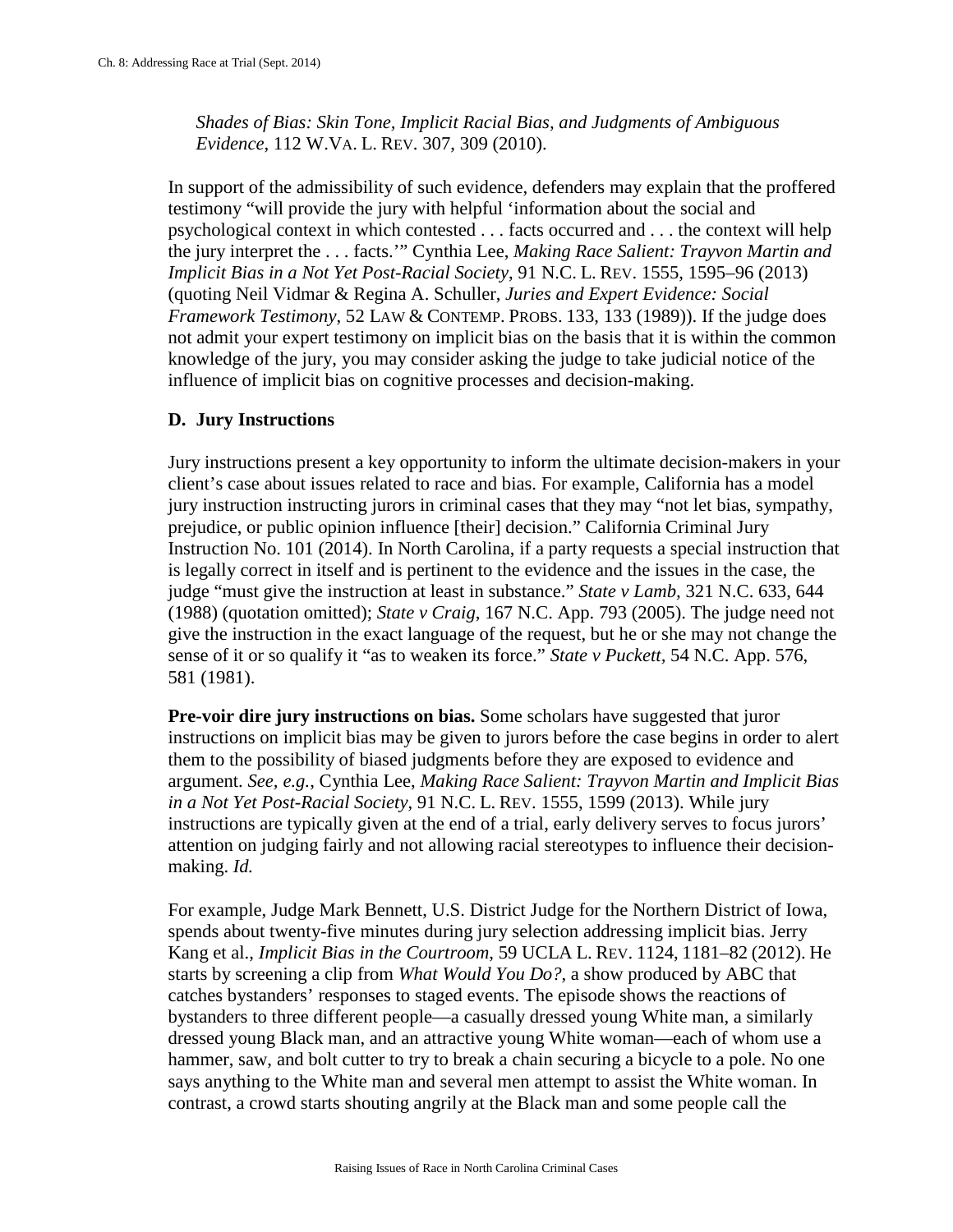*Shades of Bias: Skin Tone, Implicit Racial Bias, and Judgments of Ambiguous Evidence*, 112 W.VA. L. REV. 307, 309 (2010).

In support of the admissibility of such evidence, defenders may explain that the proffered testimony "will provide the jury with helpful 'information about the social and psychological context in which contested . . . facts occurred and . . . the context will help the jury interpret the . . . facts.'" Cynthia Lee, *Making Race Salient: Trayvon Martin and Implicit Bias in a Not Yet Post-Racial Society*, 91 N.C. L. REV. 1555, 1595–96 (2013) (quoting Neil Vidmar & Regina A. Schuller, *Juries and Expert Evidence: Social Framework Testimony*, 52 LAW & CONTEMP. PROBS. 133, 133 (1989)). If the judge does not admit your expert testimony on implicit bias on the basis that it is within the common knowledge of the jury, you may consider asking the judge to take judicial notice of the influence of implicit bias on cognitive processes and decision-making.

# **D. Jury Instructions**

Jury instructions present a key opportunity to inform the ultimate decision-makers in your client's case about issues related to race and bias. For example, California has a model jury instruction instructing jurors in criminal cases that they may "not let bias, sympathy, prejudice, or public opinion influence [their] decision." California Criminal Jury Instruction No. 101 (2014). In North Carolina, if a party requests a special instruction that is legally correct in itself and is pertinent to the evidence and the issues in the case, the judge "must give the instruction at least in substance." *State v Lamb,* 321 N.C. 633, 644 (1988) (quotation omitted); *State v Craig*, 167 N.C. App. 793 (2005). The judge need not give the instruction in the exact language of the request, but he or she may not change the sense of it or so qualify it "as to weaken its force." *State v Puckett,* 54 N.C. App. 576, 581 (1981).

**Pre-voir dire jury instructions on bias.** Some scholars have suggested that juror instructions on implicit bias may be given to jurors before the case begins in order to alert them to the possibility of biased judgments before they are exposed to evidence and argument. *See, e.g.*, Cynthia Lee, *Making Race Salient: Trayvon Martin and Implicit Bias in a Not Yet Post-Racial Society*, 91 N.C. L. REV. 1555, 1599 (2013). While jury instructions are typically given at the end of a trial, early delivery serves to focus jurors' attention on judging fairly and not allowing racial stereotypes to influence their decisionmaking. *Id.*

For example, Judge Mark Bennett, U.S. District Judge for the Northern District of Iowa, spends about twenty-five minutes during jury selection addressing implicit bias. Jerry Kang et al., *Implicit Bias in the Courtroom*, 59 UCLA L. REV. 1124, 1181–82 (2012). He starts by screening a clip from *What Would You Do?*, a show produced by ABC that catches bystanders' responses to staged events. The episode shows the reactions of bystanders to three different people—a casually dressed young White man, a similarly dressed young Black man, and an attractive young White woman—each of whom use a hammer, saw, and bolt cutter to try to break a chain securing a bicycle to a pole. No one says anything to the White man and several men attempt to assist the White woman. In contrast, a crowd starts shouting angrily at the Black man and some people call the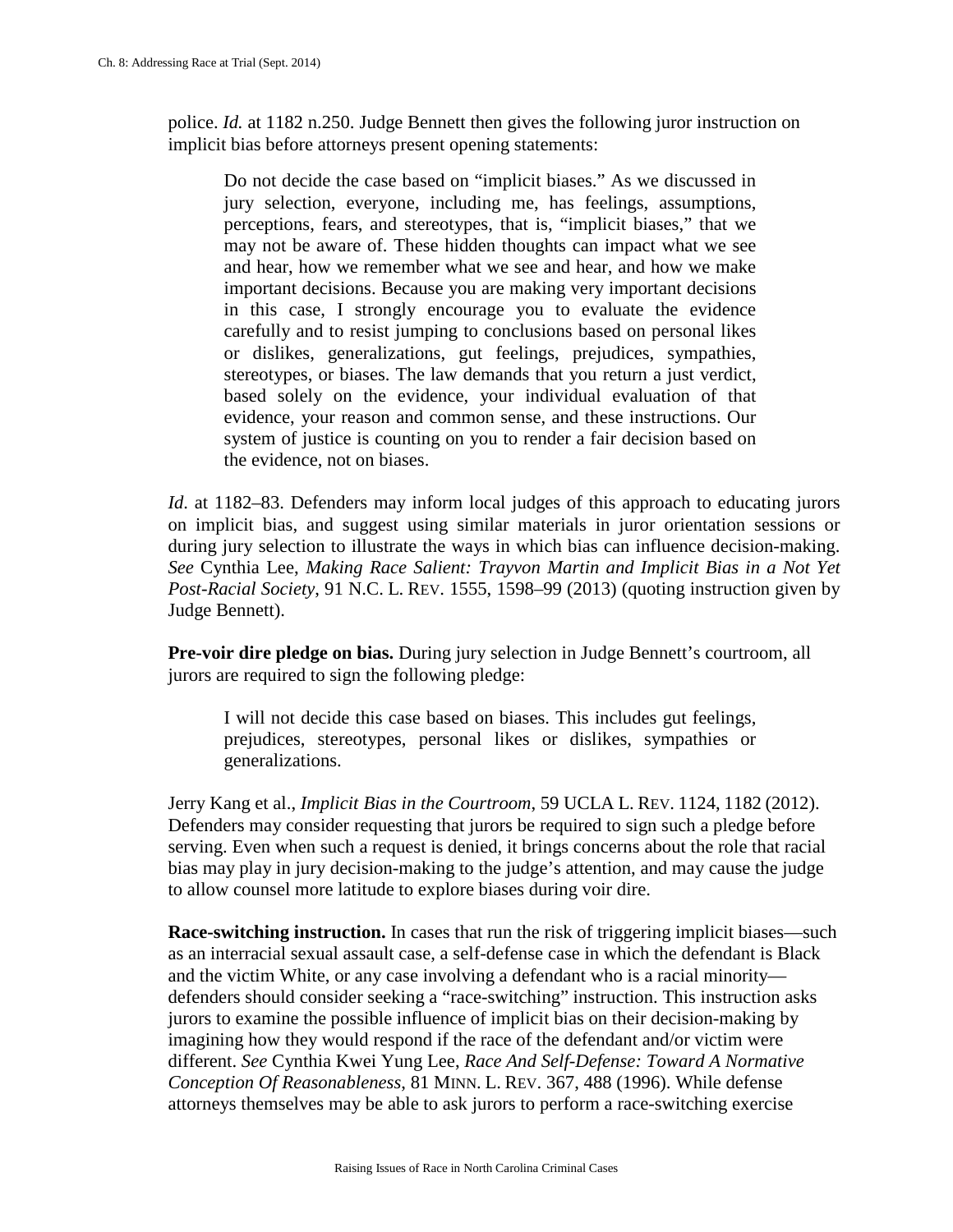police. *Id.* at 1182 n.250. Judge Bennett then gives the following juror instruction on implicit bias before attorneys present opening statements:

Do not decide the case based on "implicit biases." As we discussed in jury selection, everyone, including me, has feelings, assumptions, perceptions, fears, and stereotypes, that is, "implicit biases," that we may not be aware of. These hidden thoughts can impact what we see and hear, how we remember what we see and hear, and how we make important decisions. Because you are making very important decisions in this case, I strongly encourage you to evaluate the evidence carefully and to resist jumping to conclusions based on personal likes or dislikes, generalizations, gut feelings, prejudices, sympathies, stereotypes, or biases. The law demands that you return a just verdict, based solely on the evidence, your individual evaluation of that evidence, your reason and common sense, and these instructions. Our system of justice is counting on you to render a fair decision based on the evidence, not on biases.

*Id.* at 1182–83. Defenders may inform local judges of this approach to educating jurors on implicit bias, and suggest using similar materials in juror orientation sessions or during jury selection to illustrate the ways in which bias can influence decision-making. *See* Cynthia Lee, *Making Race Salient: Trayvon Martin and Implicit Bias in a Not Yet Post-Racial Society*, 91 N.C. L. REV. 1555, 1598–99 (2013) (quoting instruction given by Judge Bennett).

**Pre-voir dire pledge on bias.** During jury selection in Judge Bennett's courtroom, all jurors are required to sign the following pledge:

I will not decide this case based on biases. This includes gut feelings, prejudices, stereotypes, personal likes or dislikes, sympathies or generalizations.

Jerry Kang et al., *Implicit Bias in the Courtroom*, 59 UCLA L. REV. 1124, 1182 (2012). Defenders may consider requesting that jurors be required to sign such a pledge before serving. Even when such a request is denied, it brings concerns about the role that racial bias may play in jury decision-making to the judge's attention, and may cause the judge to allow counsel more latitude to explore biases during voir dire.

**Race-switching instruction.** In cases that run the risk of triggering implicit biases—such as an interracial sexual assault case, a self-defense case in which the defendant is Black and the victim White, or any case involving a defendant who is a racial minority defenders should consider seeking a "race-switching" instruction. This instruction asks jurors to examine the possible influence of implicit bias on their decision-making by imagining how they would respond if the race of the defendant and/or victim were different. *See* Cynthia Kwei Yung Lee, *Race And Self-Defense: Toward A Normative Conception Of Reasonableness*, 81 MINN. L. REV. 367, 488 (1996). While defense attorneys themselves may be able to ask jurors to perform a race-switching exercise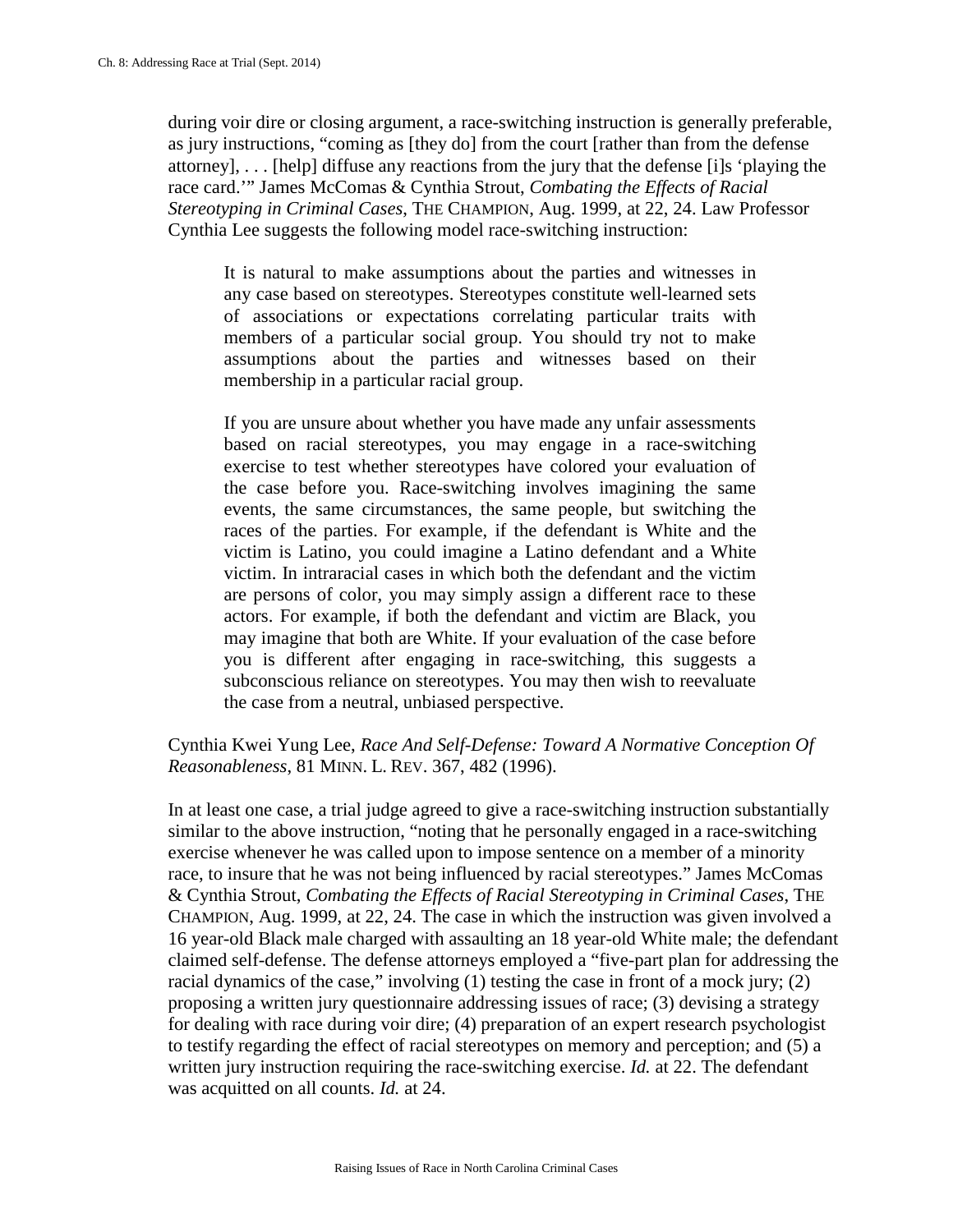during voir dire or closing argument, a race-switching instruction is generally preferable, as jury instructions, "coming as [they do] from the court [rather than from the defense attorney], . . . [help] diffuse any reactions from the jury that the defense [i]s 'playing the race card.'" James McComas & Cynthia Strout, *Combating the Effects of Racial Stereotyping in Criminal Cases*, THE CHAMPION, Aug. 1999, at 22, 24. Law Professor Cynthia Lee suggests the following model race-switching instruction:

It is natural to make assumptions about the parties and witnesses in any case based on stereotypes. Stereotypes constitute well-learned sets of associations or expectations correlating particular traits with members of a particular social group. You should try not to make assumptions about the parties and witnesses based on their membership in a particular racial group.

If you are unsure about whether you have made any unfair assessments based on racial stereotypes, you may engage in a race-switching exercise to test whether stereotypes have colored your evaluation of the case before you. Race-switching involves imagining the same events, the same circumstances, the same people, but switching the races of the parties. For example, if the defendant is White and the victim is Latino, you could imagine a Latino defendant and a White victim. In intraracial cases in which both the defendant and the victim are persons of color, you may simply assign a different race to these actors. For example, if both the defendant and victim are Black, you may imagine that both are White. If your evaluation of the case before you is different after engaging in race-switching, this suggests a subconscious reliance on stereotypes. You may then wish to reevaluate the case from a neutral, unbiased perspective.

# Cynthia Kwei Yung Lee, *Race And Self-Defense: Toward A Normative Conception Of Reasonableness*, 81 MINN. L. REV. 367, 482 (1996).

In at least one case, a trial judge agreed to give a race-switching instruction substantially similar to the above instruction, "noting that he personally engaged in a race-switching exercise whenever he was called upon to impose sentence on a member of a minority race, to insure that he was not being influenced by racial stereotypes." James McComas & Cynthia Strout, *Combating the Effects of Racial Stereotyping in Criminal Cases*, THE CHAMPION, Aug. 1999, at 22, 24. The case in which the instruction was given involved a 16 year-old Black male charged with assaulting an 18 year-old White male; the defendant claimed self-defense. The defense attorneys employed a "five-part plan for addressing the racial dynamics of the case," involving (1) testing the case in front of a mock jury; (2) proposing a written jury questionnaire addressing issues of race; (3) devising a strategy for dealing with race during voir dire; (4) preparation of an expert research psychologist to testify regarding the effect of racial stereotypes on memory and perception; and (5) a written jury instruction requiring the race-switching exercise. *Id.* at 22. The defendant was acquitted on all counts. *Id.* at 24.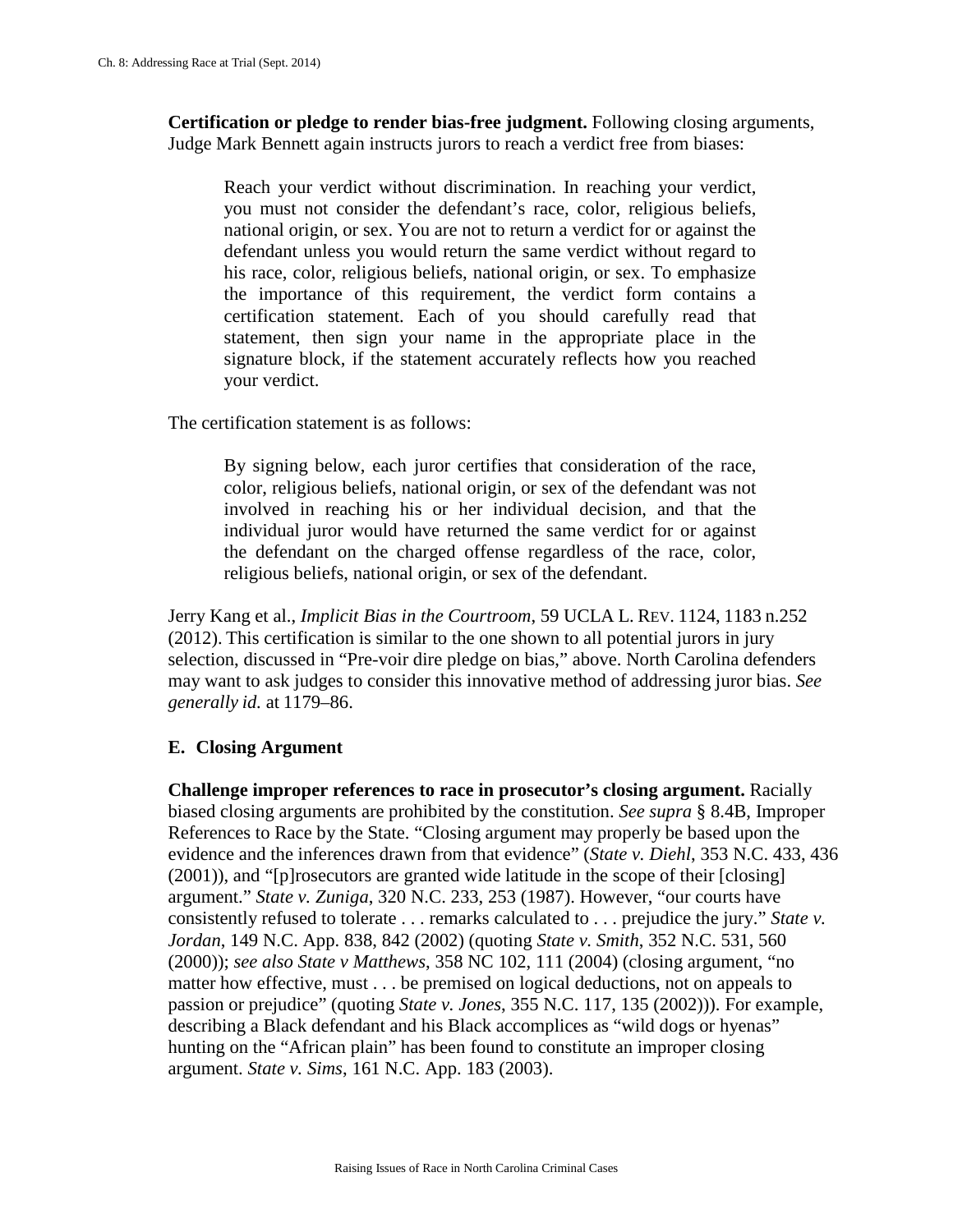**Certification or pledge to render bias-free judgment.** Following closing arguments, Judge Mark Bennett again instructs jurors to reach a verdict free from biases:

Reach your verdict without discrimination. In reaching your verdict, you must not consider the defendant's race, color, religious beliefs, national origin, or sex. You are not to return a verdict for or against the defendant unless you would return the same verdict without regard to his race, color, religious beliefs, national origin, or sex. To emphasize the importance of this requirement, the verdict form contains a certification statement. Each of you should carefully read that statement, then sign your name in the appropriate place in the signature block, if the statement accurately reflects how you reached your verdict.

The certification statement is as follows:

By signing below, each juror certifies that consideration of the race, color, religious beliefs, national origin, or sex of the defendant was not involved in reaching his or her individual decision, and that the individual juror would have returned the same verdict for or against the defendant on the charged offense regardless of the race, color, religious beliefs, national origin, or sex of the defendant.

Jerry Kang et al., *Implicit Bias in the Courtroom*, 59 UCLA L. REV. 1124, 1183 n.252 (2012). This certification is similar to the one shown to all potential jurors in jury selection, discussed in "Pre-voir dire pledge on bias," above. North Carolina defenders may want to ask judges to consider this innovative method of addressing juror bias. *See generally id.* at 1179–86.

### **E. Closing Argument**

**Challenge improper references to race in prosecutor's closing argument.** Racially biased closing arguments are prohibited by the constitution. *See supra* § 8.4B, Improper References to Race by the State. "Closing argument may properly be based upon the evidence and the inferences drawn from that evidence" (*State v. Diehl*, 353 N.C. 433, 436 (2001)), and "[p]rosecutors are granted wide latitude in the scope of their [closing] argument." *State v. Zuniga*, 320 N.C. 233, 253 (1987). However, "our courts have consistently refused to tolerate . . . remarks calculated to . . . prejudice the jury." *State v. Jordan*, 149 N.C. App. 838, 842 (2002) (quoting *State v. Smith*, 352 N.C. 531, 560 (2000)); *see also State v Matthews*, 358 NC 102, 111 (2004) (closing argument, "no matter how effective, must . . . be premised on logical deductions, not on appeals to passion or prejudice" (quoting *State v. Jones*, 355 N.C. 117, 135 (2002))). For example, describing a Black defendant and his Black accomplices as "wild dogs or hyenas" hunting on the "African plain" has been found to constitute an improper closing argument. *State v. Sims*, 161 N.C. App. 183 (2003).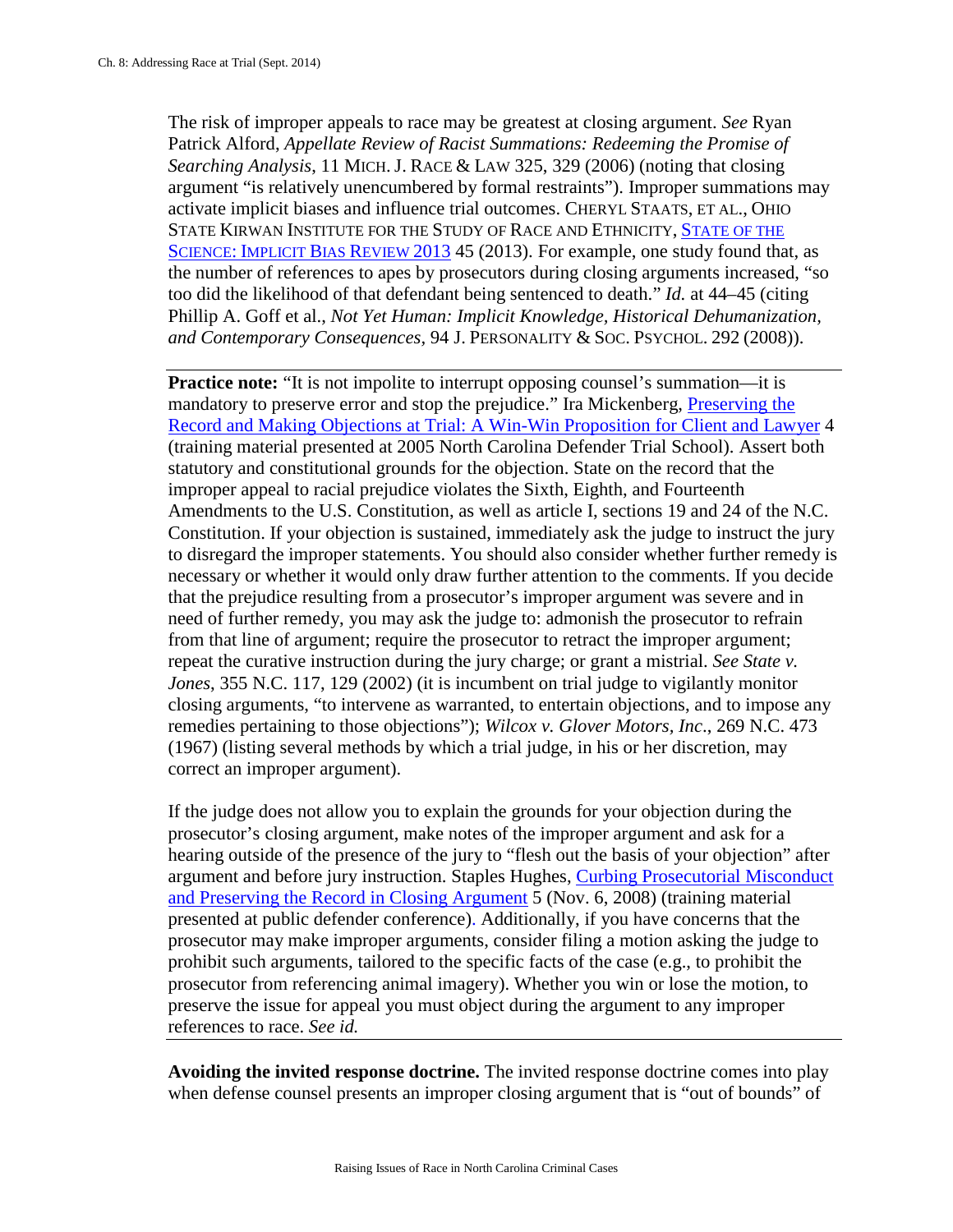The risk of improper appeals to race may be greatest at closing argument. *See* Ryan Patrick Alford, *Appellate Review of Racist Summations: Redeeming the Promise of Searching Analysis*, 11 MICH. J. RACE & LAW 325, 329 (2006) (noting that closing argument "is relatively unencumbered by formal restraints"). Improper summations may activate implicit biases and influence trial outcomes. CHERYL STAATS, ET AL., OHIO STATE KIRWAN INSTITUTE FOR THE STUDY OF RACE AND ETHNICITY, [STATE OF THE](http://kirwaninstitute.osu.edu/docs/SOTS-Implicit_Bias.pdf)  SCIENCE: [IMPLICIT BIAS REVIEW 2013](http://kirwaninstitute.osu.edu/docs/SOTS-Implicit_Bias.pdf) 45 (2013). For example, one study found that, as the number of references to apes by prosecutors during closing arguments increased, "so too did the likelihood of that defendant being sentenced to death." *Id.* at 44–45 (citing Phillip A. Goff et al., *Not Yet Human: Implicit Knowledge, Historical Dehumanization, and Contemporary Consequences,* 94 J. PERSONALITY & SOC. PSYCHOL. 292 (2008)).

**Practice note:** "It is not impolite to interrupt opposing counsel's summation—it is mandatory to preserve error and stop the prejudice." Ira Mickenberg, [Preserving the](http://www.ncids.org/Defender%20Training/2010NewMisdDefender/PreservingTheRecord.pdf)  [Record and Making Objections at Trial: A Win-Win Proposition for Client and Lawyer](http://www.ncids.org/Defender%20Training/2010NewMisdDefender/PreservingTheRecord.pdf) 4 (training material presented at 2005 North Carolina Defender Trial School). Assert both statutory and constitutional grounds for the objection. State on the record that the improper appeal to racial prejudice violates the Sixth, Eighth, and Fourteenth Amendments to the U.S. Constitution, as well as article I, sections 19 and 24 of the N.C. Constitution. If your objection is sustained, immediately ask the judge to instruct the jury to disregard the improper statements. You should also consider whether further remedy is necessary or whether it would only draw further attention to the comments. If you decide that the prejudice resulting from a prosecutor's improper argument was severe and in need of further remedy, you may ask the judge to: admonish the prosecutor to refrain from that line of argument; require the prosecutor to retract the improper argument; repeat the curative instruction during the jury charge; or grant a mistrial. *See State v. Jones*, 355 N.C. 117, 129 (2002) (it is incumbent on trial judge to vigilantly monitor closing arguments, "to intervene as warranted, to entertain objections, and to impose any remedies pertaining to those objections"); *Wilcox v. Glover Motors, Inc*., 269 N.C. 473 (1967) (listing several methods by which a trial judge, in his or her discretion, may correct an improper argument).

If the judge does not allow you to explain the grounds for your objection during the prosecutor's closing argument, make notes of the improper argument and ask for a hearing outside of the presence of the jury to "flesh out the basis of your objection" after argument and before jury instruction. Staples Hughes, [Curbing Prosecutorial Misconduct](http://www.ncids.org/Defender%20Training/2008%20Fall%20Conference/CurbingProsecutorialMisconduct.pdf)  [and Preserving the Record in Closing](http://www.ncids.org/Defender%20Training/2008%20Fall%20Conference/CurbingProsecutorialMisconduct.pdf) Argument 5 (Nov. 6, 2008) (training material presented at public defender conference). Additionally, if you have concerns that the prosecutor may make improper arguments, consider filing a motion asking the judge to prohibit such arguments, tailored to the specific facts of the case (e.g., to prohibit the prosecutor from referencing animal imagery). Whether you win or lose the motion, to preserve the issue for appeal you must object during the argument to any improper references to race. *See id.*

**Avoiding the invited response doctrine.** The invited response doctrine comes into play when defense counsel presents an improper closing argument that is "out of bounds" of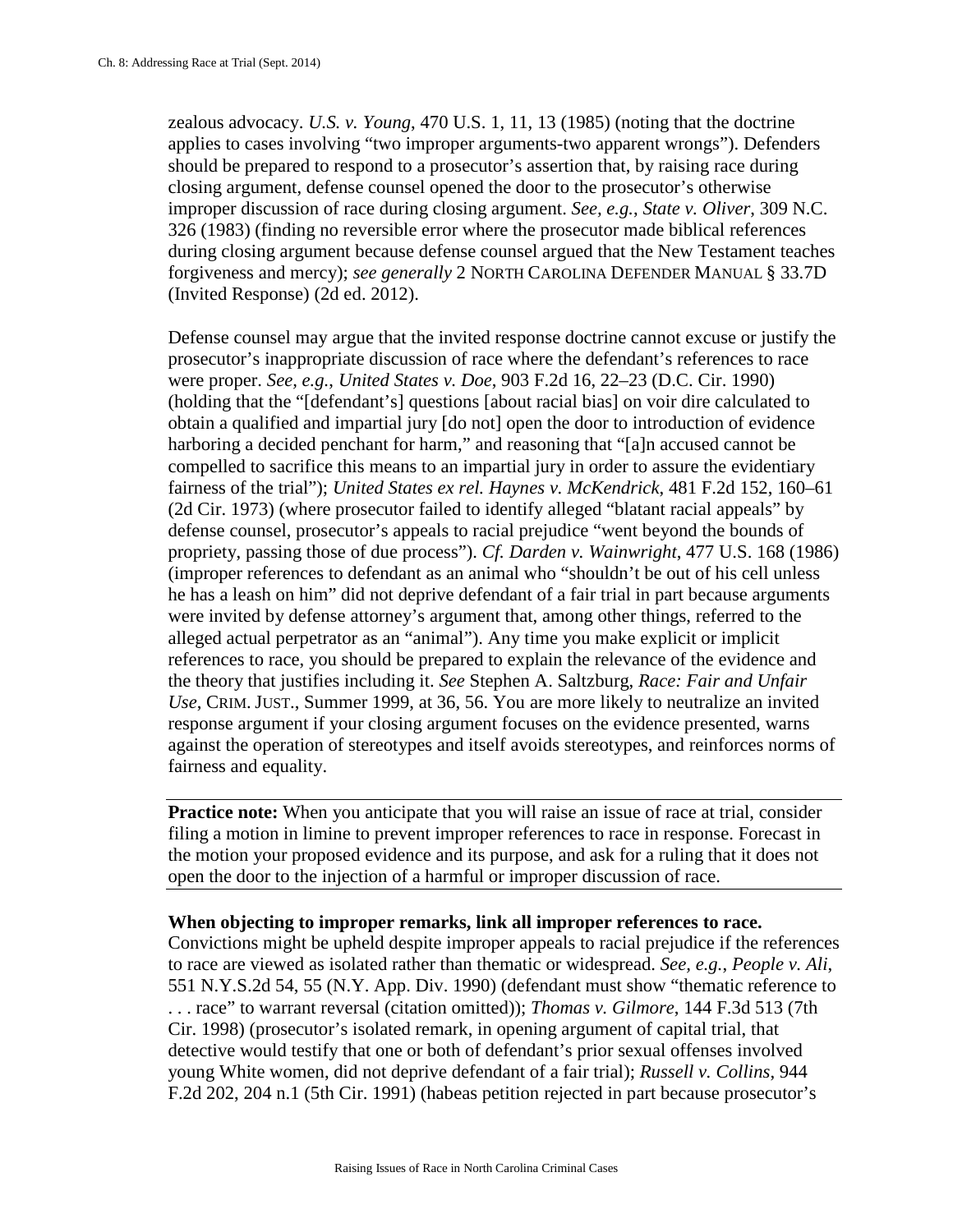zealous advocacy. *U.S. v. Young*, 470 U.S. 1, 11, 13 (1985) (noting that the doctrine applies to cases involving "two improper arguments-two apparent wrongs"). Defenders should be prepared to respond to a prosecutor's assertion that, by raising race during closing argument, defense counsel opened the door to the prosecutor's otherwise improper discussion of race during closing argument. *See, e.g.*, *State v. Oliver*, 309 N.C. 326 (1983) (finding no reversible error where the prosecutor made biblical references during closing argument because defense counsel argued that the New Testament teaches forgiveness and mercy); *see generally* 2 NORTH CAROLINA DEFENDER MANUAL § 33.7D (Invited Response) (2d ed. 2012).

Defense counsel may argue that the invited response doctrine cannot excuse or justify the prosecutor's inappropriate discussion of race where the defendant's references to race were proper. *See, e.g.*, *United States v. Doe*, 903 F.2d 16, 22–23 (D.C. Cir. 1990) (holding that the "[defendant's] questions [about racial bias] on voir dire calculated to obtain a qualified and impartial jury [do not] open the door to introduction of evidence harboring a decided penchant for harm," and reasoning that "[a]n accused cannot be compelled to sacrifice this means to an impartial jury in order to assure the evidentiary fairness of the trial"); *United States ex rel. Haynes v. McKendrick*, 481 F.2d 152, 160–61 (2d Cir. 1973) (where prosecutor failed to identify alleged "blatant racial appeals" by defense counsel, prosecutor's appeals to racial prejudice "went beyond the bounds of propriety, passing those of due process"). *Cf. Darden v. Wainwright*, 477 U.S. 168 (1986) (improper references to defendant as an animal who "shouldn't be out of his cell unless he has a leash on him" did not deprive defendant of a fair trial in part because arguments were invited by defense attorney's argument that, among other things, referred to the alleged actual perpetrator as an "animal"). Any time you make explicit or implicit references to race, you should be prepared to explain the relevance of the evidence and the theory that justifies including it. *See* Stephen A. Saltzburg, *Race: Fair and Unfair Use*, CRIM. JUST., Summer 1999, at 36, 56. You are more likely to neutralize an invited response argument if your closing argument focuses on the evidence presented, warns against the operation of stereotypes and itself avoids stereotypes, and reinforces norms of fairness and equality.

**Practice note:** When you anticipate that you will raise an issue of race at trial, consider filing a motion in limine to prevent improper references to race in response. Forecast in the motion your proposed evidence and its purpose, and ask for a ruling that it does not open the door to the injection of a harmful or improper discussion of race.

#### **When objecting to improper remarks, link all improper references to race.**

Convictions might be upheld despite improper appeals to racial prejudice if the references to race are viewed as isolated rather than thematic or widespread. *See, e.g.*, *People v. Ali*, 551 N.Y.S.2d 54, 55 (N.Y. App. Div. 1990) (defendant must show "thematic reference to . . . race" to warrant reversal (citation omitted)); *Thomas v. Gilmore*, 144 F.3d 513 (7th Cir. 1998) (prosecutor's isolated remark, in opening argument of capital trial, that detective would testify that one or both of defendant's prior sexual offenses involved young White women, did not deprive defendant of a fair trial); *Russell v. Collins*, 944 F.2d 202, 204 n.1 (5th Cir. 1991) (habeas petition rejected in part because prosecutor's